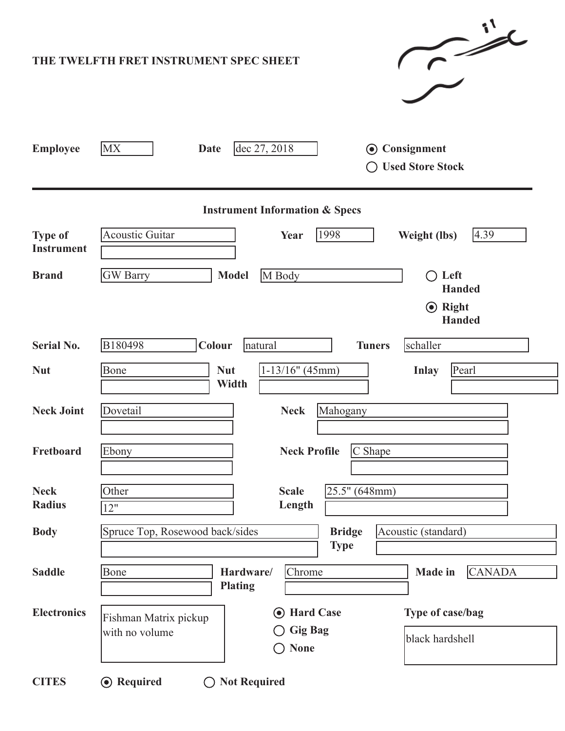|                                           | $\rightarrow$<br>THE TWELFTH FRET INSTRUMENT SPEC SHEET                                                                               |  |  |  |  |  |  |  |
|-------------------------------------------|---------------------------------------------------------------------------------------------------------------------------------------|--|--|--|--|--|--|--|
| <b>Employee</b>                           | <b>MX</b><br>dec 27, 2018<br><b>⊙</b> Consignment<br>Date<br><b>Used Store Stock</b>                                                  |  |  |  |  |  |  |  |
| <b>Instrument Information &amp; Specs</b> |                                                                                                                                       |  |  |  |  |  |  |  |
| <b>Type of</b><br><b>Instrument</b>       | 4.39<br><b>Acoustic Guitar</b><br>1998<br>Year<br><b>Weight (lbs)</b>                                                                 |  |  |  |  |  |  |  |
| <b>Brand</b>                              | <b>GW</b> Barry<br><b>Model</b><br>M Body<br>$\bigcirc$ Left<br><b>Handed</b><br><b>⊙</b> Right                                       |  |  |  |  |  |  |  |
|                                           | <b>Handed</b>                                                                                                                         |  |  |  |  |  |  |  |
| <b>Serial No.</b>                         | B180498<br>Colour<br>schaller<br><b>Tuners</b><br>natural                                                                             |  |  |  |  |  |  |  |
| <b>Nut</b>                                | $1-13/16"$ (45mm)<br>Bone<br><b>Nut</b><br>Pearl<br><b>Inlay</b><br>Width                                                             |  |  |  |  |  |  |  |
| <b>Neck Joint</b>                         | Dovetail<br><b>Neck</b><br>Mahogany                                                                                                   |  |  |  |  |  |  |  |
| Fretboard                                 | C Shape<br><b>Neck Profile</b><br>Ebony                                                                                               |  |  |  |  |  |  |  |
| <b>Neck</b><br><b>Radius</b>              | 25.5" (648mm)<br>Other<br><b>Scale</b><br>Length<br>12"                                                                               |  |  |  |  |  |  |  |
| <b>Body</b>                               | Spruce Top, Rosewood back/sides<br><b>Bridge</b><br>Acoustic (standard)<br><b>Type</b>                                                |  |  |  |  |  |  |  |
| <b>Saddle</b>                             | Bone<br>Chrome<br><b>CANADA</b><br>Hardware/<br><b>Made</b> in<br><b>Plating</b>                                                      |  |  |  |  |  |  |  |
| <b>Electronics</b>                        | Type of case/bag<br><b>⊙</b> Hard Case<br>Fishman Matrix pickup<br><b>Gig Bag</b><br>with no volume<br>black hardshell<br><b>None</b> |  |  |  |  |  |  |  |
| <b>CITES</b>                              | <b>⊙</b> Required<br>◯ Not Required                                                                                                   |  |  |  |  |  |  |  |